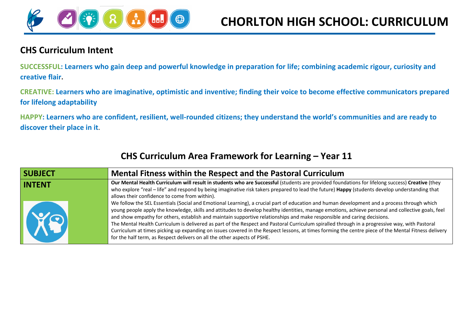

## **CHS Curriculum Intent**

**SUCCESSFUL: Learners who gain deep and powerful knowledge in preparation for life; combining academic rigour, curiosity and creative flair.**

**CREATIVE: Learners who are imaginative, optimistic and inventive; finding their voice to become effective communicators prepared for lifelong adaptability**

**HAPPY: Learners who are confident, resilient, well-rounded citizens; they understand the world's communities and are ready to discover their place in it.**

| <b>SUBJECT</b> | Mental Fitness within the Respect and the Pastoral Curriculum                                                                                                                                                                                                                                                                                                                                                                                                                                                                                                                                                                                                                                                                                                                                                     |
|----------------|-------------------------------------------------------------------------------------------------------------------------------------------------------------------------------------------------------------------------------------------------------------------------------------------------------------------------------------------------------------------------------------------------------------------------------------------------------------------------------------------------------------------------------------------------------------------------------------------------------------------------------------------------------------------------------------------------------------------------------------------------------------------------------------------------------------------|
| <b>INTENT</b>  | Our Mental Health Curriculum will result in students who are Successful (students are provided foundations for lifelong success) Creative (they<br>who explore "real - life" and respond by being imaginative risk takers prepared to lead the future) Happy (students develop understanding that<br>allows their confidence to come from within).                                                                                                                                                                                                                                                                                                                                                                                                                                                                |
| XQ             | We follow the SEL Essentials (Social and Emotional Learning), a crucial part of education and human development and a process through which<br>young people apply the knowledge, skills and attitudes to develop healthy identities, manage emotions, achieve personal and collective goals, feel<br>and show empathy for others, establish and maintain supportive relationships and make responsible and caring decisions.<br>The Mental Health Curriculum is delivered as part of the Respect and Pastoral Curriculum spiralled through in a progressive way, with Pastoral<br>Curriculum at times picking up expanding on issues covered in the Respect lessons, at times forming the centre piece of the Mental Fitness delivery<br>for the half term, as Respect delivers on all the other aspects of PSHE. |

## **CHS Curriculum Area Framework for Learning – Year 11**